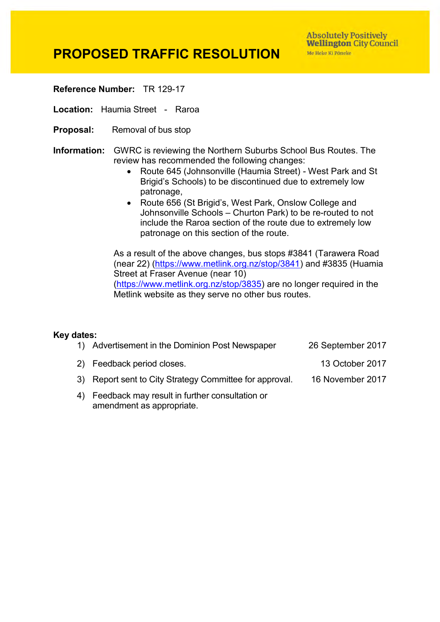**Absolutely Positively Wellington City Council** Me Heke Ki Pôneke

## **PROPOSED TRAFFIC RESOLUTION**

**Reference Number:** TR 129-17

**Location:** Haumia Street - Raroa

- **Proposal:** Removal of bus stop
- **Information:** GWRC is reviewing the Northern Suburbs School Bus Routes. The review has recommended the following changes:
	- Route 645 (Johnsonville (Haumia Street) West Park and St Brigid's Schools) to be discontinued due to extremely low patronage,
	- Route 656 (St Brigid's, West Park, Onslow College and Johnsonville Schools – Churton Park) to be re-routed to not include the Raroa section of the route due to extremely low patronage on this section of the route.

As a result of the above changes, bus stops #3841 (Tarawera Road (near 22) [\(https://www.metlink.org.nz/stop/3841\)](https://www.metlink.org.nz/stop/3841) and #3835 (Huamia Street at Fraser Avenue (near 10) [\(https://www.metlink.org.nz/stop/3835\)](https://www.metlink.org.nz/stop/3835)) are no longer required in the Metlink website as they serve no other bus routes.

## **Key dates:**

| 1) Advertisement in the Dominion Post Newspaper                                | 26 September 2017 |
|--------------------------------------------------------------------------------|-------------------|
| 2) Feedback period closes.                                                     | 13 October 2017   |
| 3) Report sent to City Strategy Committee for approval.                        | 16 November 2017  |
| 4) Feedback may result in further consultation or<br>amendment as appropriate. |                   |